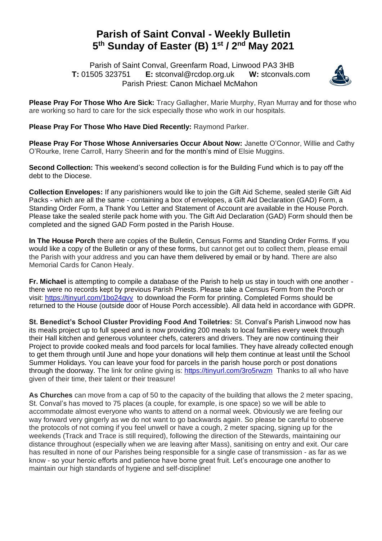## **Parish of Saint Conval - Weekly Bulletin 5 th Sunday of Easter (B) 1 st / 2nd May 2021**

 Parish of Saint Conval, Greenfarm Road, Linwood PA3 3HB **T:** 01505 323751 **E:** [stconval@rcdop.org.uk](mailto:stconval@rcdop.org.uk) **W:** stconvals.com Parish Priest: Canon Michael McMahon



**Please Pray For Those Who Are Sick:** Tracy Gallagher, Marie Murphy, Ryan Murray and for those who are working so hard to care for the sick especially those who work in our hospitals.

**Please Pray For Those Who Have Died Recently:** Raymond Parker.

**Please Pray For Those Whose Anniversaries Occur About Now:** Janette O'Connor, Willie and Cathy O'Rourke, Irene Carroll, Harry Sheerin and for the month's mind of Elsie Muggins.

**Second Collection:** This weekend's second collection is for the Building Fund which is to pay off the debt to the Diocese.

**Collection Envelopes:** If any parishioners would like to join the Gift Aid Scheme, sealed sterile Gift Aid Packs - which are all the same - containing a box of envelopes, a Gift Aid Declaration (GAD) Form, a Standing Order Form, a Thank You Letter and Statement of Account are available in the House Porch. Please take the sealed sterile pack home with you. The Gift Aid Declaration (GAD) Form should then be completed and the signed GAD Form posted in the Parish House.

**In The House Porch** there are copies of the Bulletin, Census Forms and Standing Order Forms. If you would like a copy of the Bulletin or any of these forms, but cannot get out to collect them, please email the Parish with your address and you can have them delivered by email or by hand. There are also Memorial Cards for Canon Healy.

**Fr. Michael** is attempting to compile a database of the Parish to help us stay in touch with one another there were no records kept by previous Parish Priests. Please take a Census Form from the Porch or visit:<https://tinyurl.com/1bo24gvv> to download the Form for printing. Completed Forms should be returned to the House (outside door of House Porch accessible). All data held in accordance with GDPR.

**St. Benedict's School Cluster Providing Food And Toiletries:** St. Conval's Parish Linwood now has its meals project up to full speed and is now providing 200 meals to local families every week through their Hall kitchen and generous volunteer chefs, caterers and drivers. They are now continuing their Project to provide cooked meals and food parcels for local families. They have already collected enough to get them through until June and hope your donations will help them continue at least until the School Summer Holidays. You can leave your food for parcels in the parish house porch or post donations through the doorway. The link for online giving is:<https://tinyurl.com/3ro5rwzm>Thanks to all who have given of their time, their talent or their treasure!

**As Churches** can move from a cap of 50 to the capacity of the building that allows the 2 meter spacing, St. Conval's has moved to 75 places (a couple, for example, is one space) so we will be able to accommodate almost everyone who wants to attend on a normal week. Obviously we are feeling our way forward very gingerly as we do not want to go backwards again. So please be careful to observe the protocols of not coming if you feel unwell or have a cough, 2 meter spacing, signing up for the weekends (Track and Trace is still required), following the direction of the Stewards, maintaining our distance throughout (especially when we are leaving after Mass), sanitising on entry and exit. Our care has resulted in none of our Parishes being responsible for a single case of transmission - as far as we know - so your heroic efforts and patience have borne great fruit. Let's encourage one another to maintain our high standards of hygiene and self-discipline!